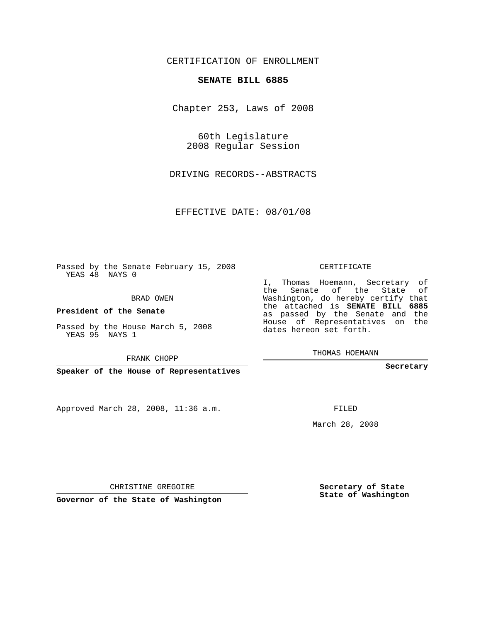## CERTIFICATION OF ENROLLMENT

## **SENATE BILL 6885**

Chapter 253, Laws of 2008

60th Legislature 2008 Regular Session

DRIVING RECORDS--ABSTRACTS

EFFECTIVE DATE: 08/01/08

Passed by the Senate February 15, 2008 YEAS 48 NAYS 0

BRAD OWEN

**President of the Senate**

Passed by the House March 5, 2008 YEAS 95 NAYS 1

FRANK CHOPP

**Speaker of the House of Representatives**

Approved March 28, 2008, 11:36 a.m.

CERTIFICATE

I, Thomas Hoemann, Secretary of the Senate of the State of Washington, do hereby certify that the attached is **SENATE BILL 6885** as passed by the Senate and the House of Representatives on the dates hereon set forth.

THOMAS HOEMANN

**Secretary**

FILED

March 28, 2008

**Secretary of State State of Washington**

CHRISTINE GREGOIRE

**Governor of the State of Washington**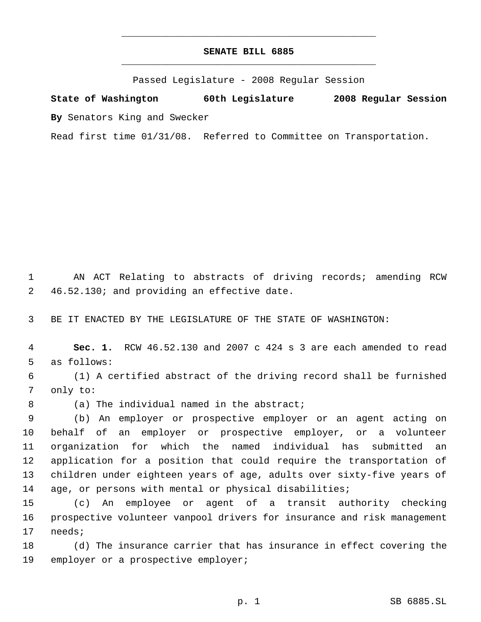## **SENATE BILL 6885** \_\_\_\_\_\_\_\_\_\_\_\_\_\_\_\_\_\_\_\_\_\_\_\_\_\_\_\_\_\_\_\_\_\_\_\_\_\_\_\_\_\_\_\_\_

\_\_\_\_\_\_\_\_\_\_\_\_\_\_\_\_\_\_\_\_\_\_\_\_\_\_\_\_\_\_\_\_\_\_\_\_\_\_\_\_\_\_\_\_\_

Passed Legislature - 2008 Regular Session

**State of Washington 60th Legislature 2008 Regular Session By** Senators King and Swecker

Read first time 01/31/08. Referred to Committee on Transportation.

 AN ACT Relating to abstracts of driving records; amending RCW 46.52.130; and providing an effective date.

BE IT ENACTED BY THE LEGISLATURE OF THE STATE OF WASHINGTON:

 **Sec. 1.** RCW 46.52.130 and 2007 c 424 s 3 are each amended to read as follows:

 (1) A certified abstract of the driving record shall be furnished only to:

8 (a) The individual named in the abstract;

 (b) An employer or prospective employer or an agent acting on behalf of an employer or prospective employer, or a volunteer organization for which the named individual has submitted an application for a position that could require the transportation of children under eighteen years of age, adults over sixty-five years of age, or persons with mental or physical disabilities;

 (c) An employee or agent of a transit authority checking prospective volunteer vanpool drivers for insurance and risk management needs;

 (d) The insurance carrier that has insurance in effect covering the employer or a prospective employer;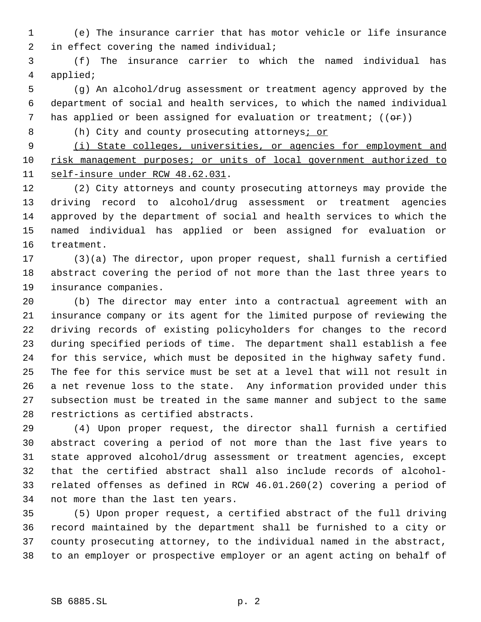(e) The insurance carrier that has motor vehicle or life insurance 2 in effect covering the named individual;

 (f) The insurance carrier to which the named individual has applied;

 (g) An alcohol/drug assessment or treatment agency approved by the department of social and health services, to which the named individual 7 has applied or been assigned for evaluation or treatment;  $((\theta \cdot \mathbf{r}))$ 

8 (h) City and county prosecuting attorneys<u>; or</u>

 (i) State colleges, universities, or agencies for employment and 10 risk management purposes; or units of local government authorized to self-insure under RCW 48.62.031.

 (2) City attorneys and county prosecuting attorneys may provide the driving record to alcohol/drug assessment or treatment agencies approved by the department of social and health services to which the named individual has applied or been assigned for evaluation or treatment.

 (3)(a) The director, upon proper request, shall furnish a certified abstract covering the period of not more than the last three years to insurance companies.

 (b) The director may enter into a contractual agreement with an insurance company or its agent for the limited purpose of reviewing the driving records of existing policyholders for changes to the record during specified periods of time. The department shall establish a fee for this service, which must be deposited in the highway safety fund. The fee for this service must be set at a level that will not result in a net revenue loss to the state. Any information provided under this subsection must be treated in the same manner and subject to the same restrictions as certified abstracts.

 (4) Upon proper request, the director shall furnish a certified abstract covering a period of not more than the last five years to state approved alcohol/drug assessment or treatment agencies, except that the certified abstract shall also include records of alcohol- related offenses as defined in RCW 46.01.260(2) covering a period of not more than the last ten years.

 (5) Upon proper request, a certified abstract of the full driving record maintained by the department shall be furnished to a city or county prosecuting attorney, to the individual named in the abstract, to an employer or prospective employer or an agent acting on behalf of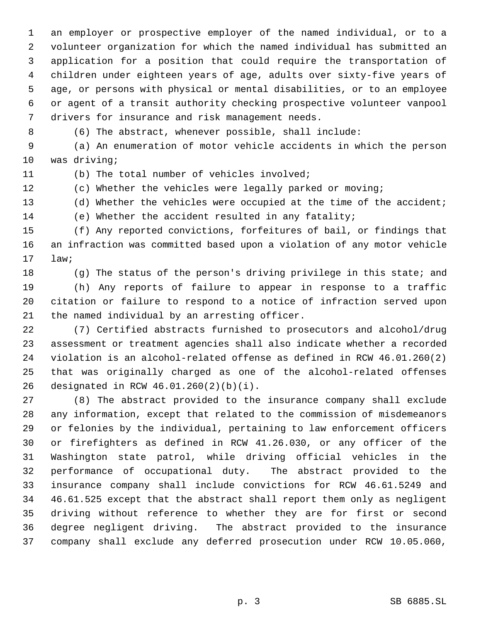an employer or prospective employer of the named individual, or to a volunteer organization for which the named individual has submitted an application for a position that could require the transportation of children under eighteen years of age, adults over sixty-five years of age, or persons with physical or mental disabilities, or to an employee or agent of a transit authority checking prospective volunteer vanpool drivers for insurance and risk management needs.

(6) The abstract, whenever possible, shall include:

 (a) An enumeration of motor vehicle accidents in which the person was driving;

(b) The total number of vehicles involved;

(c) Whether the vehicles were legally parked or moving;

(d) Whether the vehicles were occupied at the time of the accident;

(e) Whether the accident resulted in any fatality;

 (f) Any reported convictions, forfeitures of bail, or findings that an infraction was committed based upon a violation of any motor vehicle law;

(g) The status of the person's driving privilege in this state; and

 (h) Any reports of failure to appear in response to a traffic citation or failure to respond to a notice of infraction served upon the named individual by an arresting officer.

 (7) Certified abstracts furnished to prosecutors and alcohol/drug assessment or treatment agencies shall also indicate whether a recorded violation is an alcohol-related offense as defined in RCW 46.01.260(2) that was originally charged as one of the alcohol-related offenses designated in RCW 46.01.260(2)(b)(i).

 (8) The abstract provided to the insurance company shall exclude any information, except that related to the commission of misdemeanors or felonies by the individual, pertaining to law enforcement officers or firefighters as defined in RCW 41.26.030, or any officer of the Washington state patrol, while driving official vehicles in the performance of occupational duty. The abstract provided to the insurance company shall include convictions for RCW 46.61.5249 and 46.61.525 except that the abstract shall report them only as negligent driving without reference to whether they are for first or second degree negligent driving. The abstract provided to the insurance company shall exclude any deferred prosecution under RCW 10.05.060,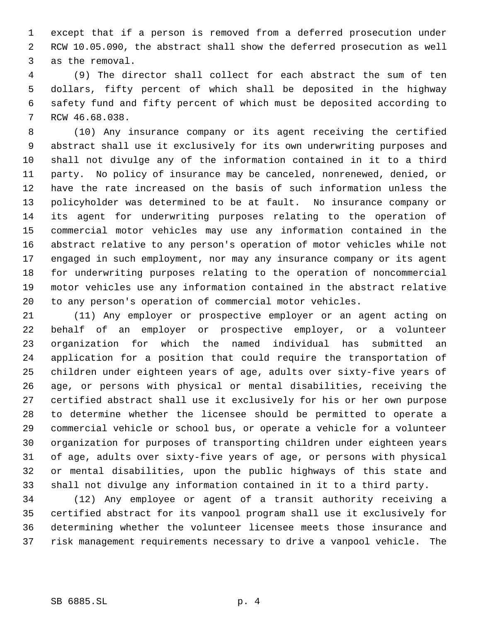except that if a person is removed from a deferred prosecution under RCW 10.05.090, the abstract shall show the deferred prosecution as well as the removal.

 (9) The director shall collect for each abstract the sum of ten dollars, fifty percent of which shall be deposited in the highway safety fund and fifty percent of which must be deposited according to RCW 46.68.038.

 (10) Any insurance company or its agent receiving the certified abstract shall use it exclusively for its own underwriting purposes and shall not divulge any of the information contained in it to a third party. No policy of insurance may be canceled, nonrenewed, denied, or have the rate increased on the basis of such information unless the policyholder was determined to be at fault. No insurance company or its agent for underwriting purposes relating to the operation of commercial motor vehicles may use any information contained in the abstract relative to any person's operation of motor vehicles while not engaged in such employment, nor may any insurance company or its agent for underwriting purposes relating to the operation of noncommercial motor vehicles use any information contained in the abstract relative to any person's operation of commercial motor vehicles.

 (11) Any employer or prospective employer or an agent acting on behalf of an employer or prospective employer, or a volunteer organization for which the named individual has submitted an application for a position that could require the transportation of children under eighteen years of age, adults over sixty-five years of age, or persons with physical or mental disabilities, receiving the certified abstract shall use it exclusively for his or her own purpose to determine whether the licensee should be permitted to operate a commercial vehicle or school bus, or operate a vehicle for a volunteer organization for purposes of transporting children under eighteen years of age, adults over sixty-five years of age, or persons with physical or mental disabilities, upon the public highways of this state and shall not divulge any information contained in it to a third party.

 (12) Any employee or agent of a transit authority receiving a certified abstract for its vanpool program shall use it exclusively for determining whether the volunteer licensee meets those insurance and risk management requirements necessary to drive a vanpool vehicle. The